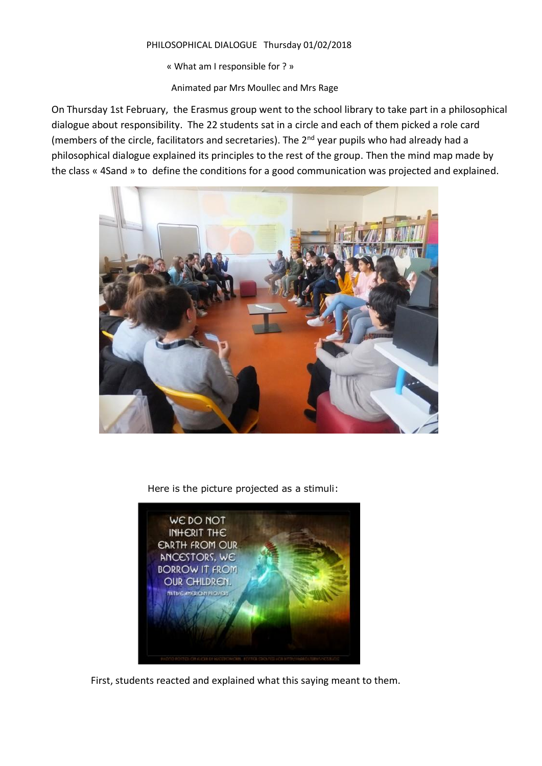#### PHILOSOPHICAL DIALOGUE Thursday 01/02/2018

« What am I responsible for ? »

Animated par Mrs Moullec and Mrs Rage

On Thursday 1st February, the Erasmus group went to the school library to take part in a philosophical dialogue about responsibility. The 22 students sat in a circle and each of them picked a role card (members of the circle, facilitators and secretaries). The 2nd year pupils who had already had a philosophical dialogue explained its principles to the rest of the group. Then the mind map made by the class « 4Sand » to define the conditions for a good communication was projected and explained.



Here is the picture projected as a stimuli:



First, students reacted and explained what this saying meant to them.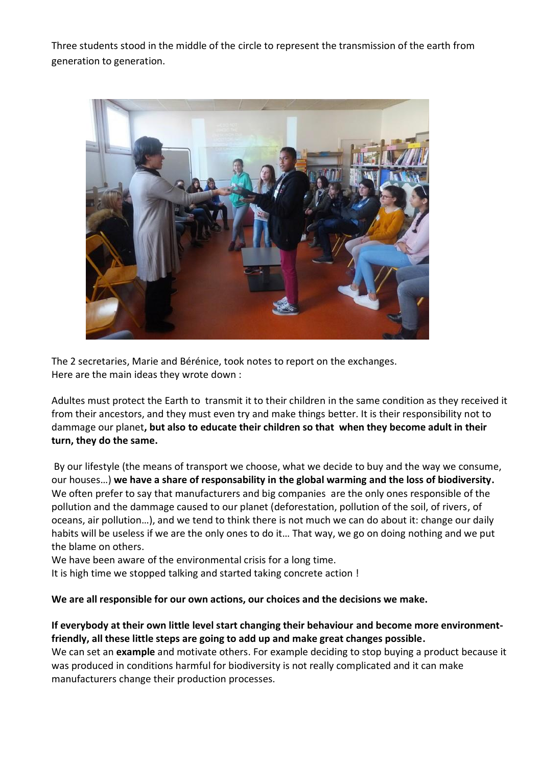Three students stood in the middle of the circle to represent the transmission of the earth from generation to generation.



The 2 secretaries, Marie and Bérénice, took notes to report on the exchanges. Here are the main ideas they wrote down :

Adultes must protect the Earth to transmit it to their children in the same condition as they received it from their ancestors, and they must even try and make things better. It is their responsibility not to dammage our planet**, but also to educate their children so that when they become adult in their turn, they do the same.**

By our lifestyle (the means of transport we choose, what we decide to buy and the way we consume, our houses…) **we have a share of responsability in the global warming and the loss of biodiversity.**  We often prefer to say that manufacturers and big companies are the only ones responsible of the pollution and the dammage caused to our planet (deforestation, pollution of the soil, of rivers, of oceans, air pollution…), and we tend to think there is not much we can do about it: change our daily habits will be useless if we are the only ones to do it… That way, we go on doing nothing and we put the blame on others.

We have been aware of the environmental crisis for a long time.

It is high time we stopped talking and started taking concrete action !

## **We are all responsible for our own actions, our choices and the decisions we make.**

# **If everybody at their own little level start changing their behaviour and become more environmentfriendly, all these little steps are going to add up and make great changes possible.**

We can set an **example** and motivate others. For example deciding to stop buying a product because it was produced in conditions harmful for biodiversity is not really complicated and it can make manufacturers change their production processes.